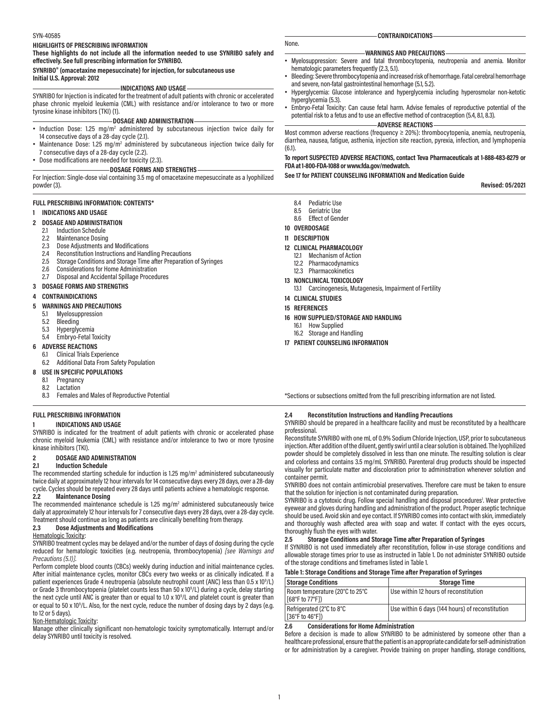#### SYN-40585

#### **HIGHLIGHTS OF PRESCRIBING INFORMATION**

**These highlights do not include all the information needed to use SYNRIBO safely and effectively. See full prescribing information for SYNRIBO.**

#### **SYNRIBO® (omacetaxine mepesuccinate) for injection, for subcutaneous use Initial U.S. Approval: 2012**

#### **INDICATIONS AND USAGE**

SYNRIBO for Injection is indicated for the treatment of adult patients with chronic or accelerated phase chronic myeloid leukemia (CML) with resistance and/or intolerance to two or more tyrosine kinase inhibitors (TKI) (1).

### **DOSAGE AND ADMINISTRATION**

- Induction Dose: 1.25 mg/m<sup>2</sup> administered by subcutaneous injection twice daily for 14 consecutive days of a 28-day cycle (2.1).
- Maintenance Dose: 1.25 mg/m<sup>2</sup> administered by subcutaneous injection twice daily for 7 consecutive days of a 28-day cycle (2.2).
- Dose modifications are needed for toxicity (2.3).

#### **DOSAGE FORMS AND STRENGTHS**

For Injection: Single-dose vial containing 3.5 mg of omacetaxine mepesuccinate as a lyophilized powder (3).

#### **FULL PRESCRIBING INFORMATION: CONTENTS\***

#### **1 INDICATIONS AND USAGE**

- 
- **2 DOSAGE AND ADMINISTRATION** 2.1 Induction Schedule
	-
	- 2.2 Maintenance Dosing<br>2.3 Dose Adjustments an 2.3 Dose Adjustments and Modifications<br>2.4 Reconstitution Instructions and Hand
	- 2.4 Reconstitution Instructions and Handling Precautions
	- 2.5 Storage Conditions and Storage Time after Preparation of Syringes
	- 2.6 Considerations for Home Administration<br>2.7 Disposal and Accidental Spillage Proced
	- Disposal and Accidental Spillage Procedures
- **3 DOSAGE FORMS AND STRENGTHS**

#### **4 CONTRAINDICATIONS**

- **5 WARNINGS AND PRECAUTIONS**
	- 5.1 Myelosuppression
	- 5.2 Bleeding
	- 5.3 Hyperglycemia
	- 5.4 Embryo-Fetal Toxicity

#### **6 ADVERSE REACTIONS**

- 6.1 Clinical Trials Experience
- 6.2 Additional Data From Safety Population
- **USE IN SPECIFIC POPULATIONS**<br>81 Pregnancy
- Pregnancy
- 8.2 Lactation
- 8.3 Females and Males of Reproductive Potential

#### **FULL PRESCRIBING INFORMATION**

#### **1 INDICATIONS AND USAGE**

SYNRIBO is indicated for the treatment of adult patients with chronic or accelerated phase chronic myeloid leukemia (CML) with resistance and/or intolerance to two or more tyrosine kinase inhibitors (TKI).

#### **2 DOSAGE AND ADMINISTRATION**

#### **2.1 Induction Schedule**

The recommended starting schedule for induction is  $1.25 \text{ mg/m}^2$  administered subcutaneously twice daily at approximately 12 hour intervals for 14 consecutive days every 28 days, over a 28-day cycle. Cycles should be repeated every 28 days until patients achieve a hematologic response.<br>2.2 Maintenance Dosing

**2.2 Maintenance Dosing**

The recommended maintenance schedule is  $1.25 \text{ mg/m}^2$  administered subcutaneously twice daily at approximately 12 hour intervals for 7 consecutive days every 28 days, over a 28-day cycle. Treatment should continue as long as patients are clinically benefiting from therapy.<br>2.3 Dose Adiustments and Modifications **2.3 Dose Adjustments and Modifications**

### Hematologic Toxicity:

SYNRIBO treatment cycles may be delayed and/or the number of days of dosing during the cycle reduced for hematologic toxicities (e.g. neutropenia, thrombocytopenia) *[see Warnings and Precautions (5.1)]*.

Perform complete blood counts (CBCs) weekly during induction and initial maintenance cycles. After initial maintenance cycles, monitor CBCs every two weeks or as clinically indicated. If a patient experiences Grade 4 neutropenia (absolute neutrophil count (ANC) less than 0.5 x 10<sup>9</sup>/L) or Grade 3 thrombocytopenia (platelet counts less than 50 x 10<sup>9</sup>/L) during a cycle, delay starting the next cycle until ANC is greater than or equal to 1.0 x 10<sup>9</sup>/L and platelet count is greater than or equal to 50 x 10<sup>9</sup>/L. Also, for the next cycle, reduce the number of dosing days by 2 days (e.g. to 12 or 5 days).

#### Non-Hematologic Toxicity:

Manage other clinically significant non-hematologic toxicity symptomatically. Interrupt and/or delay SYNRIBO until toxicity is resolved.

**CONTRAINDICATIONS**

#### **WARNINGS AND PRECAUTIONS**

- Myelosuppression: Severe and fatal thrombocytopenia, neutropenia and anemia. Monitor hematologic parameters frequently (2.3, 5.1).
- Bleeding: Severe thrombocytopenia and increased risk of hemorrhage. Fatal cerebral hemorrhage and severe, non-fatal gastrointestinal hemorrhage (5.1, 5.2).
- Hyperglycemia: Glucose intolerance and hyperglycemia including hyperosmolar non-ketotic hyperglycemia (5.3).
- Embryo-Fetal Toxicity: Can cause fetal harm. Advise females of reproductive potential of the potential risk to a fetus and to use an effective method of contraception (5.4, 8.1, 8.3).

**ADVERSE REACTIONS**

Most common adverse reactions (frequency ≥ 20%): thrombocytopenia, anemia, neutropenia, diarrhea, nausea, fatigue, asthenia, injection site reaction, pyrexia, infection, and lymphopenia (6.1).

#### **To report SUSPECTED ADVERSE REACTIONS, contact Teva Pharmaceuticals at 1-888-483-8279 or FDA at 1-800-FDA-1088 or www.fda.gov/medwatch.**

#### **See 17 for PATIENT COUNSELING INFORMATION and Medication Guide**

**Revised: 05/2021**

- 8.4 Pediatric Use
- 8.5 Geriatric Use
- 8.6 Effect of Gender
- **10 OVERDOSAGE**

#### **11 DESCRIPTION**

None.

- **12 CLINICAL PHARMACOLOGY**
	- 12.1 Mechanism of Action
	- 12.2 Pharmacodynamics
- 12.3 Pharmacokinetics
- **13 NONCLINICAL TOXICOLOGY**
	- 13.1 Carcinogenesis, Mutagenesis, Impairment of Fertility
- **14 CLINICAL STUDIES**
- **15 REFERENCES**
- **16 HOW SUPPLIED/STORAGE AND HANDLING**
- 16.1 How Supplied
- 16.2 Storage and Handling
- **17 PATIENT COUNSELING INFORMATION**

\*Sections or subsections omitted from the full prescribing information are not listed.

#### **2.4 Reconstitution Instructions and Handling Precautions**

SYNRIBO should be prepared in a healthcare facility and must be reconstituted by a healthcare professional.

Reconstitute SYNRIBO with one mL of 0.9% Sodium Chloride Injection, USP, prior to subcutaneous injection. After addition of the diluent, gently swirl until a clear solution is obtained. The lyophilized powder should be completely dissolved in less than one minute. The resulting solution is clear and colorless and contains 3.5 mg/mL SYNRIBO. Parenteral drug products should be inspected visually for particulate matter and discoloration prior to administration whenever solution and container permit.

SYNRIBO does not contain antimicrobial preservatives. Therefore care must be taken to ensure that the solution for injection is not contaminated during preparation.

SYNRIBO is a cytotoxic drug. Follow special handling and disposal procedures<sup>1</sup>. Wear protective eyewear and gloves during handling and administration of the product. Proper aseptic technique should be used. Avoid skin and eye contact. If SYNRIBO comes into contact with skin, immediately and thoroughly wash affected area with soap and water. If contact with the eyes occurs, thoroughly flush the eyes with water.

#### **2.5 Storage Conditions and Storage Time after Preparation of Syringes**

If SYNRIBO is not used immediately after reconstitution, follow in-use storage conditions and allowable storage times prior to use as instructed in Table 1. Do not administer SYNRIBO outside of the storage conditions and timeframes listed in Table 1.

| Table 1: Storage Conditions and Storage Time after Preparation of Syringes |  |
|----------------------------------------------------------------------------|--|
|                                                                            |  |

| <b>Storage Conditions</b>                         | <b>Storage Time</b>                             |  |
|---------------------------------------------------|-------------------------------------------------|--|
| Room temperature (20°C to 25°C<br>[68°F to 77°F]) | Use within 12 hours of reconstitution           |  |
| Refrigerated (2°C to 8°C<br>[36°F to 46°F])       | Use within 6 days (144 hours) of reconstitution |  |

#### **2.6 Considerations for Home Administration**

Before a decision is made to allow SYNRIBO to be administered by someone other than a healthcare professional, ensure that the patient is an appropriate candidate for self-administration or for administration by a caregiver. Provide training on proper handling, storage conditions,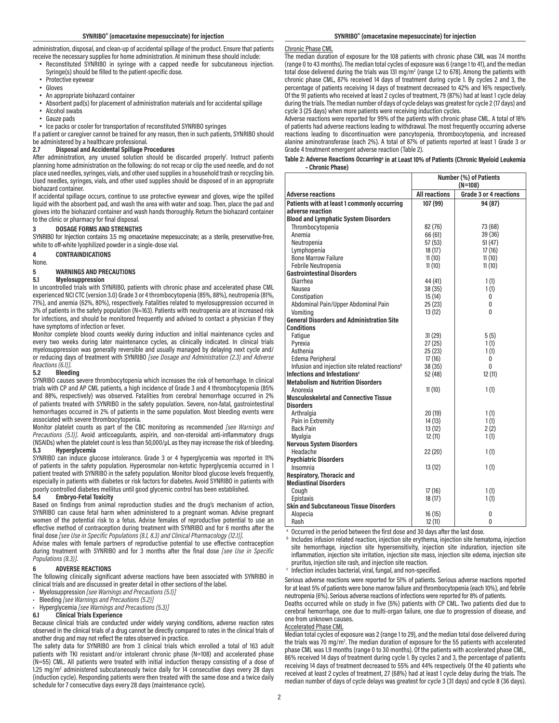administration, disposal, and clean-up of accidental spillage of the product. Ensure that patients receive the necessary supplies for home administration. At minimum these should include:

- Reconstituted SYNRIBO in syringe with a capped needle for subcutaneous injection. Syringe(s) should be filled to the patient-specific dose.
- Protective eyewear
- Gloves
- An appropriate biohazard container
- Absorbent pad(s) for placement of administration materials and for accidental spillage
- Alcohol swabs
- Gauze pads
- Ice packs or cooler for transportation of reconstituted SYNRIBO syringes

If a patient or caregiver cannot be trained for any reason, then in such patients, SYNRIBO should be administered by a healthcare professional.<br>2.7 Disposal and Accidental Spillage P

#### **2.7 Disposal and Accidental Spillage Procedures**

After administration, any unused solution should be discarded properly<sup>1</sup>. Instruct patients planning home administration on the following: do not recap or clip the used needle, and do not place used needles, syringes, vials, and other used supplies in a household trash or recycling bin. Used needles, syringes, vials, and other used supplies should be disposed of in an appropriate biohazard container.

If accidental spillage occurs, continue to use protective eyewear and gloves, wipe the spilled liquid with the absorbent pad, and wash the area with water and soap. Then, place the pad and gloves into the biohazard container and wash hands thoroughly. Return the biohazard container to the clinic or pharmacy for final disposal.

#### **3 DOSAGE FORMS AND STRENGTHS**

SYNRIBO for Injection contains 3.5 mg omacetaxine mepesuccinate; as a sterile, preservative-free, white to off-white lyophilized powder in a single-dose vial.

**4 CONTRAINDICATIONS**

None.

# **5 WARNINGS AND PRECAUTIONS**

### **5.1 Myelosuppression**

In uncontrolled trials with SYNRIBO, patients with chronic phase and accelerated phase CML experienced NCI CTC (version 3.0) Grade 3 or 4 thrombocytopenia (85%, 88%), neutropenia (81%, 71%), and anemia (62%, 80%), respectively. Fatalities related to myelosuppression occurred in 3% of patients in the safety population (N=163). Patients with neutropenia are at increased risk for infections, and should be monitored frequently and advised to contact a physician if they have symptoms of infection or fever.

Monitor complete blood counts weekly during induction and initial maintenance cycles and every two weeks during later maintenance cycles, as clinically indicated. In clinical trials myelosuppression was generally reversible and usually managed by delaying next cycle and/ or reducing days of treatment with SYNRIBO *[see Dosage and Administration (2.3) and Adverse Reactions (6.1)]*.

#### **5.2 Bleeding**

SYNRIBO causes severe thrombocytopenia which increases the risk of hemorrhage. In clinical trials with CP and AP CML patients, a high incidence of Grade 3 and 4 thrombocytopenia (85% and 88%, respectively) was observed. Fatalities from cerebral hemorrhage occurred in 2% of patients treated with SYNRIBO in the safety population. Severe, non-fatal, gastrointestinal hemorrhages occurred in 2% of patients in the same population. Most bleeding events were associated with severe thrombocytopenia.

Monitor platelet counts as part of the CBC monitoring as recommended *[see Warnings and Precautions (5.1)]*. Avoid anticoagulants, aspirin, and non-steroidal anti-inflammatory drugs (NSAIDs) when the platelet count is less than 50,000/ $\mu$ L as they may increase the risk of bleeding.<br>5.3 Hynerglycemia **5.3 Hyperglycemia**

SYNRIBO can induce glucose intolerance. Grade 3 or 4 hyperglycemia was reported in 11% of patients in the safety population. Hyperosmolar non-ketotic hyperglycemia occurred in 1 patient treated with SYNRIBO in the safety population. Monitor blood glucose levels frequently, especially in patients with diabetes or risk factors for diabetes. Avoid SYNRIBO in patients with poorly controlled diabetes mellitus until good glycemic control has been established.<br>5.4 Embryo-Fetal Toxicity

#### **5.4 Embryo-Fetal Toxicity**

Based on findings from animal reproduction studies and the drug's mechanism of action, SYNRIBO can cause fetal harm when administered to a pregnant woman. Advise pregnant women of the potential risk to a fetus. Advise females of reproductive potential to use an effective method of contraception during treatment with SYNRIBO and for 6 months after the final dose *[see Use in Specific Populations (8.1, 8.3) and Clinical Pharmacology (12.1)]*.

Advise males with female partners of reproductive potential to use effective contraception during treatment with SYNRIBO and for 3 months after the final dose *[see Use in Specific Populations (8.3)]*.

#### **6 ADVERSE REACTIONS**

The following clinically significant adverse reactions have been associated with SYNRIBO in clinical trials and are discussed in greater detail in other sections of the label.

- Myelosuppression *[see Warnings and Precautions (5.1)]*
- Bleeding *[see Warnings and Precautions (5.2)]*
- Hyperglycemia *[see Warnings and Precautions (5.3)]*

#### **6.1 Clinical Trials Experience**

Because clinical trials are conducted under widely varying conditions, adverse reaction rates observed in the clinical trials of a drug cannot be directly compared to rates in the clinical trials of another drug and may not reflect the rates observed in practice.

The safety data for SYNRIBO are from 3 clinical trials which enrolled a total of 163 adult patients with TKI resistant and/or intolerant chronic phase (N=108) and accelerated phase (N=55) CML. All patients were treated with initial induction therapy consisting of a dose of 1.25 mg/m<sup>2</sup> administered subcutaneously twice daily for 14 consecutive days every 28 days (induction cycle). Responding patients were then treated with the same dose and a twice daily schedule for 7 consecutive days every 28 days (maintenance cycle).

### Chronic Phase CML

The median duration of exposure for the 108 patients with chronic phase CML was 7.4 months (range 0 to 43 months). The median total cycles of exposure was 6 (range 1 to 41), and the median total dose delivered during the trials was 131 mg/m<sup>2</sup> (range 1.2 to 678). Among the patients with chronic phase CML, 87% received 14 days of treatment during cycle 1. By cycles 2 and 3, the percentage of patients receiving 14 days of treatment decreased to 42% and 16% respectively. Of the 91 patients who received at least 2 cycles of treatment, 79 (87%) had at least 1 cycle delay during the trials. The median number of days of cycle delays was greatest for cycle 2 (17 days) and cycle 3 (25 days) when more patients were receiving induction cycles.

Adverse reactions were reported for 99% of the patients with chronic phase CML. A total of 18% of patients had adverse reactions leading to withdrawal. The most frequently occurring adverse reactions leading to discontinuation were pancytopenia, thrombocytopenia, and increased alanine aminotransferase (each 2%). A total of 87% of patients reported at least 1 Grade 3 or Grade 4 treatment emergent adverse reaction (Table 2).

| Table 2: Adverse Reactions Occurring <sup>a</sup> in at Least 10% of Patients (Chronic Myeloid Leukemia |  |
|---------------------------------------------------------------------------------------------------------|--|
| - Chronic Phase)                                                                                        |  |

|                                                            |                      | Number (%) of Patients |
|------------------------------------------------------------|----------------------|------------------------|
|                                                            |                      | $(N=108)$              |
| <b>Adverse reactions</b>                                   | <b>All reactions</b> | Grade 3 or 4 reactions |
| Patients with at least 1 commonly occurring                | 107 (99)             | 94 (87)                |
| adverse reaction                                           |                      |                        |
| <b>Blood and Lymphatic System Disorders</b>                |                      |                        |
| Thrombocytopenia                                           | 82 (76)              | 73 (68)                |
| Anemia                                                     | 66 (61)              | 39 (36)                |
| Neutropenia                                                | 57(53)               | 51(47)                 |
| Lymphopenia                                                | 18 (17)              | 17(16)                 |
| <b>Bone Marrow Failure</b>                                 | 11(10)               | 11(10)                 |
| Febrile Neutropenia                                        | 11(10)               | 11(10)                 |
| <b>Gastrointestinal Disorders</b>                          |                      |                        |
| Diarrhea                                                   | 44 (41)              | 1(1)                   |
| Nausea                                                     | 38(35)               | 1(1)                   |
| Constipation                                               | 15(14)               | 0                      |
| Abdominal Pain/Upper Abdominal Pain                        | 25(23)               | 0                      |
| Vomitina                                                   | 13(12)               | $\Omega$               |
| <b>General Disorders and Administration Site</b>           |                      |                        |
| <b>Conditions</b>                                          |                      |                        |
| Fatique                                                    | 31(29)               | 5(5)                   |
| Pyrexia                                                    | 27(25)               | 1(1)                   |
| Asthenia                                                   | 25(23)               | 1(1)                   |
| Edema Peripheral                                           | 17(16)               | 0                      |
| Infusion and injection site related reactions <sup>b</sup> | 38 (35)              | $\Omega$               |
| Infections and Infestations <sup>c</sup>                   | 52 (48)              | 12(11)                 |
| <b>Metabolism and Nutrition Disorders</b>                  |                      |                        |
| Anorexia                                                   | 11(10)               | 1(1)                   |
| <b>Musculoskeletal and Connective Tissue</b>               |                      |                        |
| <b>Disorders</b>                                           |                      |                        |
| Arthralgia                                                 | 20(19)               | 1(1)                   |
| Pain in Extremity                                          | 14(13)               | 1(1)                   |
| <b>Back Pain</b>                                           | 13(12)               | 2(2)                   |
| Myalgia                                                    | 12(11)               | 1(1)                   |
| <b>Nervous System Disorders</b>                            |                      |                        |
| Headache                                                   | 22(20)               | 1(1)                   |
| <b>Psychiatric Disorders</b>                               |                      |                        |
| Insomnia                                                   | 13(12)               | 1(1)                   |
| Respiratory, Thoracic and<br><b>Mediastinal Disorders</b>  |                      |                        |
| Cough                                                      | 17(16)               | 1(1)                   |
| Epistaxis                                                  | 18 (17)              | 1(1)                   |
| <b>Skin and Subcutaneous Tissue Disorders</b>              |                      |                        |
| Alopecia                                                   | 16(15)               | 0                      |
| Rash                                                       | 12(11)               | 0                      |
|                                                            |                      |                        |

<sup>a</sup> Occurred in the period between the first dose and 30 days after the last dose.<br><sup>b</sup> Includes infusion related reaction, injection site erythema, injection site hematoma, injection site hemorrhage, injection site hypersensitivity, injection site induration, injection site inflammation, injection site irritation, injection site mass, injection site edema, injection site

pruritus, injection site rash, and injection site reaction.<br>
C Infection includes bacterial, viral, fungal, and non-specified.

Serious adverse reactions were reported for 51% of patients. Serious adverse reactions reported for at least 5% of patients were bone marrow failure and thrombocytopenia (each 10%), and febrile neutropenia (6%). Serious adverse reactions of infections were reported for 8% of patients.

Deaths occurred while on study in five (5%) patients with CP CML. Two patients died due to cerebral hemorrhage, one due to multi-organ failure, one due to progression of disease, and one from unknown causes.

#### Accelerated Phase CML

Median total cycles of exposure was 2 (range 1 to 29), and the median total dose delivered during the trials was 70 mg/m<sup>2</sup>. The median duration of exposure for the 55 patients with accelerated phase CML was 1.9 months (range 0 to 30 months). Of the patients with accelerated phase CML, 86% received 14 days of treatment during cycle 1. By cycles 2 and 3, the percentage of patients receiving 14 days of treatment decreased to 55% and 44% respectively. Of the 40 patients who received at least 2 cycles of treatment, 27 (68%) had at least 1 cycle delay during the trials. The median number of days of cycle delays was greatest for cycle 3 (31 days) and cycle 8 (36 days).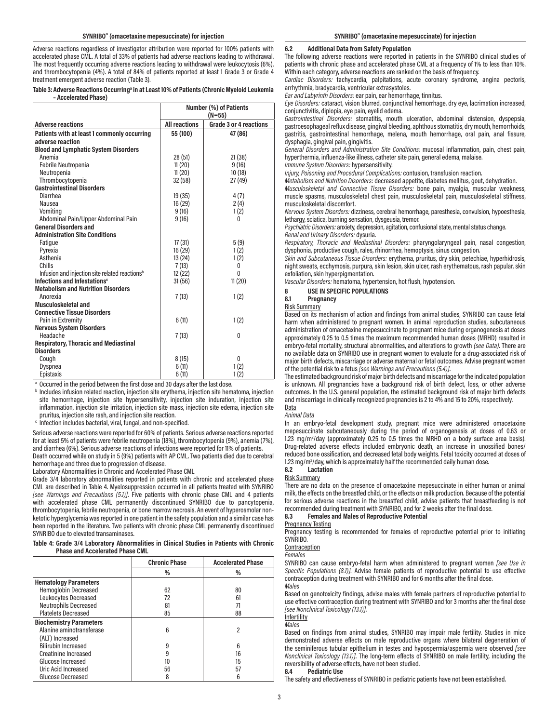Adverse reactions regardless of investigator attribution were reported for 100% patients with accelerated phase CML. A total of 33% of patients had adverse reactions leading to withdrawal. The most frequently occurring adverse reactions leading to withdrawal were leukocytosis (6%), and thrombocytopenia (4%). A total of 84% of patients reported at least 1 Grade 3 or Grade 4 treatment emergent adverse reaction (Table 3).

#### Table 3: Adverse Reactions Occurring<sup>a</sup> in at Least 10% of Patients (Chronic Myeloid Leukemia  **– Accelerated Phase)**

|                                                            | <b>Number (%) of Patients</b><br>$(N=55)$ |                        |
|------------------------------------------------------------|-------------------------------------------|------------------------|
| <b>Adverse reactions</b>                                   | <b>All reactions</b>                      | Grade 3 or 4 reactions |
| Patients with at least 1 commonly occurring                | 55 (100)                                  | 47 (86)                |
| adverse reaction                                           |                                           |                        |
| <b>Blood and Lymphatic System Disorders</b>                |                                           |                        |
| Anemia                                                     | 28(51)                                    | 21(38)                 |
| Febrile Neutropenia                                        | 11(20)                                    | 9(16)                  |
| Neutropenia                                                | 11(20)                                    | 10(18)                 |
| Thrombocytopenia                                           | 32(58)                                    | 27 (49)                |
| <b>Gastrointestinal Disorders</b>                          |                                           |                        |
| Diarrhea                                                   | 19 (35)                                   | 4(7)                   |
| Nausea                                                     | 16(29)                                    | 2(4)                   |
| Vomiting                                                   | 9(16)                                     | 1(2)                   |
| Abdominal Pain/Upper Abdominal Pain                        | 9(16)                                     | 0                      |
| <b>General Disorders and</b>                               |                                           |                        |
| <b>Administration Site Conditions</b>                      |                                           |                        |
| Fatique                                                    | 17(31)                                    | 5(9)                   |
| Pyrexia                                                    | 16(29)                                    | 1(2)                   |
| Asthenia                                                   | 13 (24)                                   | 1(2)                   |
| Chills                                                     | 7(13)                                     | 0                      |
| Infusion and injection site related reactions <sup>b</sup> | 12 (22)                                   | $\Omega$               |
| Infections and Infestations <sup>c</sup>                   | 31(56)                                    | 11(20)                 |
| <b>Metabolism and Nutrition Disorders</b>                  |                                           |                        |
| Anorexia                                                   | 7(13)                                     | 1(2)                   |
| Musculoskeletal and                                        |                                           |                        |
| <b>Connective Tissue Disorders</b>                         |                                           |                        |
| Pain in Extremity                                          | 6(11)                                     | 1(2)                   |
| <b>Nervous System Disorders</b>                            |                                           |                        |
| Headache                                                   | 7(13)                                     | 0                      |
| <b>Respiratory, Thoracic and Mediastinal</b>               |                                           |                        |
| <b>Disorders</b>                                           |                                           |                        |
| Cough                                                      | 8(15)                                     | 0                      |
| Dyspnea                                                    | 6(11)                                     | 1(2)                   |
| Epistaxis                                                  | 6(11)                                     | 1(2)                   |

<sup>a</sup> Occurred in the period between the first dose and 30 days after the last dose.<br><sup>b</sup> Includes infusion related reaction, injection site erythema, injection site hematoma, injection site hemorrhage, injection site hypersensitivity, injection site induration, injection site inflammation, injection site irritation, injection site mass, injection site edema, injection site

 $\cdot$  Infection includes bacterial, viral, fungal, and non-specified.

Serious adverse reactions were reported for 60% of patients. Serious adverse reactions reported for at least 5% of patients were febrile neutropenia (18%), thrombocytopenia (9%), anemia (7%), and diarrhea (6%). Serious adverse reactions of infections were reported for 11% of patients.

Death occurred while on study in 5 (9%) patients with AP CML. Two patients died due to cerebral hemorrhage and three due to progression of disease.

Laboratory Abnormalities in Chronic and Accelerated Phase CML

Grade 3/4 laboratory abnormalities reported in patients with chronic and accelerated phase CML are described in Table 4. Myelosuppression occurred in all patients treated with SYNRIBO *[see Warnings and Precautions (5.1)]*. Five patients with chronic phase CML and 4 patients with accelerated phase CML permanently discontinued SYNRIBO due to pancytopenia, thrombocytopenia, febrile neutropenia, or bone marrow necrosis. An event of hyperosmolar nonketotic hyperglycemia was reported in one patient in the safety population and a similar case has been reported in the literature. Two patients with chronic phase CML permanently discontinued SYNRIBO due to elevated transaminases.

#### **Table 4: Grade 3/4 Laboratory Abnormalities in Clinical Studies in Patients with Chronic Phase and Accelerated Phase CML**

|                                | <b>Chronic Phase</b> | <b>Accelerated Phase</b> |
|--------------------------------|----------------------|--------------------------|
|                                | %                    | %                        |
| <b>Hematology Parameters</b>   |                      |                          |
| <b>Hemoglobin Decreased</b>    | 62                   | 80                       |
| Leukocytes Decreased           | 72                   | 61                       |
| <b>Neutrophils Decreased</b>   | 81                   |                          |
| <b>Platelets Decreased</b>     | 85                   | 88                       |
| <b>Biochemistry Parameters</b> |                      |                          |
| Alanine aminotransferase       | ĥ                    |                          |
| (ALT) Increased                |                      |                          |
| <b>Bilirubin Increased</b>     | 9                    |                          |
| <b>Creatinine Increased</b>    |                      | 16                       |
| Glucose Increased              |                      | 15                       |
| Uric Acid Increased            | 56                   | 57                       |
| Glucose Decreased              |                      |                          |

#### **6.2 Additional Data from Safety Population**

The following adverse reactions were reported in patients in the SYNRIBO clinical studies of patients with chronic phase and accelerated phase CML at a frequency of 1% to less than 10%. Within each category, adverse reactions are ranked on the basis of frequency.

*Cardiac Disorders:* tachycardia, palpitations, acute coronary syndrome, angina pectoris, arrhythmia, bradycardia, ventricular extrasystoles.

*Ear and Labyrinth Disorders:* ear pain, ear hemorrhage, tinnitus.

*Eye Disorders:* cataract, vision blurred, conjunctival hemorrhage, dry eye, lacrimation increased, conjunctivitis, diplopia, eye pain, eyelid edema.

*Gastrointestinal Disorders:* stomatitis, mouth ulceration, abdominal distension, dyspepsia, gastroesophageal reflux disease, gingival bleeding, aphthous stomatitis, dry mouth, hemorrhoids, gastritis, gastrointestinal hemorrhage, melena, mouth hemorrhage, oral pain, anal fissure, dysphagia, gingival pain, gingivitis.

*General Disorders and Administration Site Conditions:* mucosal inflammation, pain, chest pain, hyperthermia, influenza-like illness, catheter site pain, general edema, malaise.

*Immune System Disorders:* hypersensitivity.

*Injury, Poisoning and Procedural Complications:* contusion, transfusion reaction.

*Metabolism and Nutrition Disorders:* decreased appetite, diabetes mellitus, gout, dehydration. *Musculoskeletal and Connective Tissue Disorders:* bone pain, myalgia, muscular weakness,

muscle spasms, musculoskeletal chest pain, musculoskeletal pain, musculoskeletal stiffness, musculoskeletal discomfort.

*Nervous System Disorders:* dizziness, cerebral hemorrhage, paresthesia, convulsion, hypoesthesia, lethargy, sciatica, burning sensation, dysgeusia, tremor.

*Psychiatric Disorders:* anxiety, depression, agitation, confusional state, mental status change. *Renal and Urinary Disorders:* dysuria.

*Respiratory, Thoracic and Mediastinal Disorders:* pharyngolaryngeal pain, nasal congestion, dysphonia, productive cough, rales, rhinorrhea, hemoptysis, sinus congestion.

*Skin and Subcutaneous Tissue Disorders:* erythema, pruritus, dry skin, petechiae, hyperhidrosis, night sweats, ecchymosis, purpura, skin lesion, skin ulcer, rash erythematous, rash papular, skin exfoliation, skin hyperpigmentation.

*Vascular Disorders:* hematoma, hypertension, hot flush, hypotension.

# **8 USE IN SPECIFIC POPULATIONS**

**8.1 Pregnancy**

Risk Summary

Based on its mechanism of action and findings from animal studies, SYNRIBO can cause fetal harm when administered to pregnant women. In animal reproduction studies, subcutaneous administration of omacetaxine mepesuccinate to pregnant mice during organogenesis at doses approximately 0.25 to 0.5 times the maximum recommended human doses (MRHD) resulted in embryo-fetal mortality, structural abnormalities, and alterations to growth *(see Data)*. There are no available data on SYNRIBO use in pregnant women to evaluate for a drug-associated risk of major birth defects, miscarriage or adverse maternal or fetal outcomes. Advise pregnant women of the potential risk to a fetus *[see Warnings and Precautions (5.4)]*.

The estimated background risk of major birth defects and miscarriage for the indicated population is unknown. All pregnancies have a background risk of birth defect, loss, or other adverse outcomes. In the U.S. general population, the estimated background risk of major birth defects and miscarriage in clinically recognized pregnancies is 2 to 4% and 15 to 20%, respectively. Data

#### *Animal Data*

In an embryo-fetal development study, pregnant mice were administered omacetaxine mepesuccinate subcutaneously during the period of organogenesis at doses of 0.63 or 1.23 mg/m<sup>2</sup>/day (approximately 0.25 to 0.5 times the MRHD on a body surface area basis). Drug-related adverse effects included embryonic death, an increase in unossified bones/ reduced bone ossification, and decreased fetal body weights. Fetal toxicity occurred at doses of 1.23 mg/m<sup>2</sup>/day, which is approximately half the recommended daily human dose.

### **8.2 Lactation**

Risk Summary

There are no data on the presence of omacetaxine mepesuccinate in either human or animal milk, the effects on the breastfed child, or the effects on milk production. Because of the potential for serious adverse reactions in the breastfed child, advise patients that breastfeeding is not recommended during treatment with SYNRIBO, and for 2 weeks after the final dose.<br>8.3 Females and Males of Reproductive Potential **8.3 Females and Males of Reproductive Potential**

Pregnancy Testing

Pregnancy testing is recommended for females of reproductive potential prior to initiating SYNRIBO.

### **Contraception**

*Females*

SYNRIBO can cause embryo-fetal harm when administered to pregnant women *[see Use in Specific Populations (8.1)]*. Advise female patients of reproductive potential to use effective contraception during treatment with SYNRIBO and for 6 months after the final dose. *Males*

Based on genotoxicity findings, advise males with female partners of reproductive potential to use effective contraception during treatment with SYNRIBO and for 3 months after the final dose *[see Nonclinical Toxicology (13.1)]*.

#### **Infertility** *Males*

Based on findings from animal studies, SYNRIBO may impair male fertility. Studies in mice demonstrated adverse effects on male reproductive organs where bilateral degeneration of the seminiferous tubular epithelium in testes and hypospermia/aspermia were observed *[see Nonclinical Toxicology (13.1)]*. The long-term effects of SYNRIBO on male fertility, including the reversibility of adverse effects, have not been studied.<br>8.4 Pediatric Use

#### **8.4 Pediatric Use**

The safety and effectiveness of SYNRIBO in pediatric patients have not been established.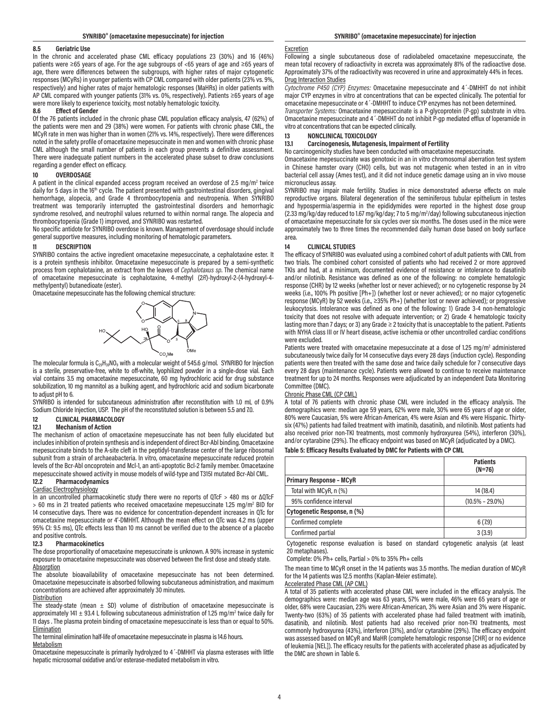#### **8.5 Geriatric Use**

In the chronic and accelerated phase CML efficacy populations 23 (30%) and 16 (46%) patients were ≥65 years of age. For the age subgroups of <65 years of age and ≥65 years of age, there were differences between the subgroups, with higher rates of major cytogenetic responses (MCyRs) in younger patients with CP CML compared with older patients (23% vs. 9%, respectively) and higher rates of major hematologic responses (MaHRs) in older patients with AP CML compared with younger patients (31% vs. 0%, respectively). Patients ≥65 years of age were more likely to experience toxicity, most notably hematologic toxicity.

#### **8.6 Effect of Gender**

Of the 76 patients included in the chronic phase CML population efficacy analysis, 47 (62%) of the patients were men and 29 (38%) were women. For patients with chronic phase CML, the MCyR rate in men was higher than in women (21% vs. 14%, respectively). There were differences noted in the safety profile of omacetaxine mepesuccinate in men and women with chronic phase CML although the small number of patients in each group prevents a definitive assessment. There were inadequate patient numbers in the accelerated phase subset to draw conclusions regarding a gender effect on efficacy.

#### **10 OVERDOSAGE**

A patient in the clinical expanded access program received an overdose of 2.5 mg/m<sup>2</sup> twice daily for 5 days in the 16<sup>th</sup> cycle. The patient presented with gastrointestinal disorders, gingival hemorrhage, alopecia, and Grade 4 thrombocytopenia and neutropenia. When SYNRIBO treatment was temporarily interrupted the gastrointestinal disorders and hemorrhagic syndrome resolved, and neutrophil values returned to within normal range. The alopecia and thrombocytopenia (Grade 1) improved, and SYNRIBO was restarted.

No specific antidote for SYNRIBO overdose is known. Management of overdosage should include general supportive measures, including monitoring of hematologic parameters.

#### **11 DESCRIPTION**

SYNRIBO contains the active ingredient omacetaxine mepesuccinate, a cephalotaxine ester. It is a protein synthesis inhibitor. Omacetaxine mepesuccinate is prepared by a semi-synthetic process from cephalotaxine, an extract from the leaves of *Cephalotaxus sp*. The chemical name of omacetaxine mepesuccinate is cephalotaxine, 4-methyl (2*R*)-hydroxyl-2-(4-hydroxyl-4 methylpentyl) butanedioate (ester).

Omacetaxine mepesuccinate has the following chemical structure:



The molecular formula is  $C_{29}H_{39}NO_9$  with a molecular weight of 545.6 g/mol. SYNRIBO for Injection is a sterile, preservative-free, white to off-white, lyophilized powder in a single-dose vial. Each vial contains 3.5 mg omacetaxine mepesuccinate, 60 mg hydrochloric acid for drug substance solubilization, 10 mg mannitol as a bulking agent, and hydrochloric acid and sodium bicarbonate to adjust pH to 6.

SYNRIBO is intended for subcutaneous administration after reconstitution with 1.0 mL of 0.9% Sodium Chloride Injection, USP. The pH of the reconstituted solution is between 5.5 and 7.0.

#### **12 CLINICAL PHARMACOLOGY**

#### **12.1 Mechanism of Action**

The mechanism of action of omacetaxine mepesuccinate has not been fully elucidated but includes inhibition of protein synthesis and is independent of direct Bcr-Abl binding. Omacetaxine mepesuccinate binds to the A-site cleft in the peptidyl-transferase center of the large ribosomal subunit from a strain of archaeabacteria. In vitro, omacetaxine mepesuccinate reduced protein levels of the Bcr-Abl oncoprotein and Mcl-1, an anti-apoptotic Bcl-2 family member. Omacetaxine mepesuccinate showed activity in mouse models of wild-type and T315I mutated Bcr-Abl CML.<br>12.2 Pharmacodynamics

#### **12.2 Pharmacodynamics**

#### Cardiac Electrophysiology

In an uncontrolled pharmacokinetic study there were no reports of QTcF > 480 ms or ΔQTcF > 60 ms in 21 treated patients who received omacetaxine mepesuccinate 1.25 mg/m<sup>2</sup> BID for 14 consecutive days. There was no evidence for concentration-dependent increases in QTc for omacetaxine mepesuccinate or 4'-DMHHT. Although the mean effect on QTc was 4.2 ms (upper 95% CI: 9.5 ms), QTc effects less than 10 ms cannot be verified due to the absence of a placebo and positive controls.

#### **12.3 Pharmacokinetics**

The dose proportionality of omacetaxine mepesuccinate is unknown. A 90% increase in systemic exposure to omacetaxine mepesuccinate was observed between the first dose and steady state. **Absorption** 

The absolute bioavailability of omacetaxine mepesuccinate has not been determined. Omacetaxine mepesuccinate is absorbed following subcutaneous administration, and maximum concentrations are achieved after approximately 30 minutes.

#### Distribution

The steady-state (mean  $\pm$  SD) volume of distribution of omacetaxine mepesuccinate is approximately 141  $\pm$  93.4 L following subcutaneous administration of 1.25 mg/m<sup>2</sup> twice daily for 11 days . The plasma protein binding of omacetaxine mepesuccinate is less than or equal to 50%. **Elimination** 

The terminal elimination half-life of omacetaxine mepesuccinate in plasma is 14.6 hours. **Metabolism** 

Omacetaxine mepesuccinate is primarily hydrolyzed to 4´-DMHHT via plasma esterases with little hepatic microsomal oxidative and/or esterase-mediated metabolism in vitro.

#### **Excretion**

Following a single subcutaneous dose of radiolabeled omacetaxine mepesuccinate, the mean total recovery of radioactivity in excreta was approximately 81% of the radioactive dose. Approximately 37% of the radioactivity was recovered in urine and approximately 44% in feces. Drug Interaction Studies

*Cytochrome P450 (CYP) Enzymes:* Omacetaxine mepesuccinate and 4´-DMHHT do not inhibit major CYP enzymes in vitro at concentrations that can be expected clinically. The potential for omacetaxine mepesuccinate or 4´-DMHHT to induce CYP enzymes has not been determined.

*Transporter Systems:* Omacetaxine mepesuccinate is a P-glycoprotein (P-gp) substrate in vitro. Omacetaxine mepesuccinate and 4´-DMHHT do not inhibit P-gp mediated efflux of loperamide in vitro at concentrations that can be expected clinically.

# **13 NONCLINICAL TOXICOLOGY**

### **13.1 Carcinogenesis, Mutagenesis, Impairment of Fertility**

No carcinogenicity studies have been conducted with omacetaxine mepesuccinate.

Omacetaxine mepesuccinate was genotoxic in an in vitro chromosomal aberration test system in Chinese hamster ovary (CHO) cells, but was not mutagenic when tested in an in vitro bacterial cell assay (Ames test), and it did not induce genetic damage using an in vivo mouse micronucleus assay.

SYNRIBO may impair male fertility. Studies in mice demonstrated adverse effects on male reproductive organs. Bilateral degeneration of the seminiferous tubular epithelium in testes and hypospermia/aspermia in the epididymides were reported in the highest dose group (2.33 mg/kg/day reduced to 1.67 mg/kg/day; 7 to 5 mg/m<sup>2</sup>/day) following subcutaneous injection of omacetaxine mepesuccinate for six cycles over six months. The doses used in the mice were approximately two to three times the recommended daily human dose based on body surface area.

#### **14 CLINICAL STUDIES**

The efficacy of SYNRIBO was evaluated using a combined cohort of adult patients with CML from two trials. The combined cohort consisted of patients who had received 2 or more approved TKIs and had, at a minimum, documented evidence of resistance or intolerance to dasatinib and/or nilotinib. Resistance was defined as one of the following: no complete hematologic response (CHR) by 12 weeks (whether lost or never achieved); or no cytogenetic response by 24 weeks (i.e., 100% Ph positive [Ph+]) (whether lost or never achieved); or no major cytogenetic response (MCyR) by 52 weeks (i.e., ≥35% Ph+) (whether lost or never achieved); or progressive leukocytosis. Intolerance was defined as one of the following: 1) Grade 3-4 non-hematologic toxicity that does not resolve with adequate intervention; or 2) Grade 4 hematologic toxicity lasting more than 7 days; or 3) any Grade ≥ 2 toxicity that is unacceptable to the patient. Patients with NYHA class III or IV heart disease, active ischemia or other uncontrolled cardiac conditions were excluded.

Patients were treated with omacetaxine mepesuccinate at a dose of 1.25 mg/m<sup>2</sup> administered subcutaneously twice daily for 14 consecutive days every 28 days (induction cycle). Responding patients were then treated with the same dose and twice daily schedule for 7 consecutive days every 28 days (maintenance cycle). Patients were allowed to continue to receive maintenance treatment for up to 24 months. Responses were adjudicated by an independent Data Monitoring Committee (DMC).

### Chronic Phase CML (CP CML)

A total of 76 patients with chronic phase CML were included in the efficacy analysis. The demographics were: median age 59 years, 62% were male, 30% were 65 years of age or older, 80% were Caucasian, 5% were African-American, 4% were Asian and 4% were Hispanic. Thirtysix (47%) patients had failed treatment with imatinib, dasatinib, and nilotinib. Most patients had also received prior non-TKI treatments, most commonly hydroxyurea (54%), interferon (30%), and/or cytarabine (29%). The efficacy endpoint was based on MCyR (adjudicated by a DMC).

#### **Table 5: Efficacy Results Evaluated by DMC for Patients with CP CML**

|                                | <b>Patients</b><br>$(N=76)$ |
|--------------------------------|-----------------------------|
| <b>Primary Response - MCyR</b> |                             |
| Total with MCyR, n (%)         | 14 (18.4)                   |
| 95% confidence interval        | $(10.5\% - 29.0\%)$         |
| Cytogenetic Response, n (%)    |                             |
| Confirmed complete             | 6(7.9)                      |
| Confirmed partial              | 3(3.9)                      |

Cytogenetic response evaluation is based on standard cytogenetic analysis (at least 20 metaphases).

Complete: 0% Ph+ cells, Partial > 0% to 35% Ph+ cells

The mean time to MCyR onset in the 14 patients was 3.5 months. The median duration of MCyR for the 14 patients was 12.5 months (Kaplan-Meier estimate).

#### Accelerated Phase CML (AP CML)

A total of 35 patients with accelerated phase CML were included in the efficacy analysis. The demographics were: median age was 63 years, 57% were male, 46% were 65 years of age or older, 68% were Caucasian, 23% were African-American, 3% were Asian and 3% were Hispanic. Twenty-two (63%) of 35 patients with accelerated phase had failed treatment with imatinib, dasatinib, and nilotinib. Most patients had also received prior non-TKI treatments, most commonly hydroxyurea (43%), interferon (31%), and/or cytarabine (29%). The efficacy endpoint was assessed based on MCyR and MaHR (complete hematologic response [CHR] or no evidence of leukemia [NEL]). The efficacy results for the patients with accelerated phase as adjudicated by the DMC are shown in Table 6.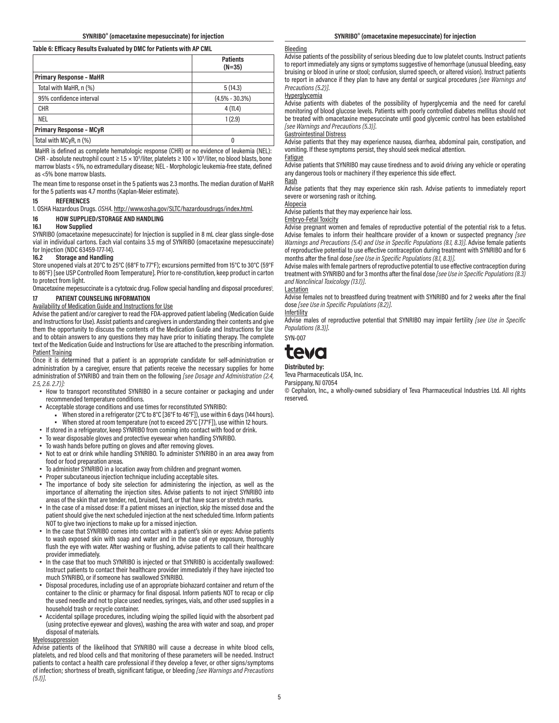#### **Table 6: Efficacy Results Evaluated by DMC for Patients with AP CML**

|                                | <b>Patients</b><br>$(N=35)$ |
|--------------------------------|-----------------------------|
| <b>Primary Response - MaHR</b> |                             |
| Total with MaHR, n (%)         | 5(14.3)                     |
| 95% confidence interval        | $(4.5\% - 30.3\%)$          |
| <b>CHR</b>                     | 4(11.4)                     |
| <b>NEL</b>                     | 1(2.9)                      |
| <b>Primary Response - MCyR</b> |                             |
| Total with MCyR, n (%)         |                             |

MaHR is defined as complete hematologic response (CHR) or no evidence of leukemia (NEL): CHR - absolute neutrophil count  $\geq 1.5 \times 10^9$ /liter, platelets  $\geq 100 \times 10^9$ /liter, no blood blasts, bone marrow blasts < 5%, no extramedullary disease; NEL - Morphologic leukemia-free state, defined as <5% bone marrow blasts.

The mean time to response onset in the 5 patients was 2.3 months. The median duration of MaHR for the 5 patients was 4.7 months (Kaplan-Meier estimate).

#### **15 REFERENCES**

1. OSHA Hazardous Drugs. *OSHA*. http://www.osha.gov/SLTC/hazardousdrugs/index.html.

#### **16 HOW SUPPLIED/STORAGE AND HANDLING**

#### **16.1 How Supplied**

SYNRIBO (omacetaxine mepesuccinate) for Injection is supplied in 8 mL clear glass single-dose vial in individual cartons. Each vial contains 3.5 mg of SYNRIBO (omacetaxine mepesuccinate) for Injection (NDC 63459-177-14).

#### **16.2 Storage and Handling**

Store unopened vials at 20°C to 25°C (68°F to 77°F); excursions permitted from 15°C to 30°C (59°F to 86°F) [see USP Controlled Room Temperature]. Prior to re-constitution, keep product in carton to protect from light.

Omacetaxine mepesuccinate is a cytotoxic drug. Follow special handling and disposal procedures<sup>1</sup>. . **17 PATIENT COUNSELING INFORMATION**

### Availability of Medication Guide and Instructions for Use

Advise the patient and/or caregiver to read the FDA-approved patient labeling (Medication Guide and Instructions for Use). Assist patients and caregivers in understanding their contents and give them the opportunity to discuss the contents of the Medication Guide and Instructions for Use and to obtain answers to any questions they may have prior to initiating therapy. The complete text of the Medication Guide and Instructions for Use are attached to the prescribing information. Patient Training

Once it is determined that a patient is an appropriate candidate for self-administration or administration by a caregiver, ensure that patients receive the necessary supplies for home administration of SYNRIBO and train them on the following *[see Dosage and Administration (2.4, 2.5, 2.6. 2.7)]:*

- How to transport reconstituted SYNRIBO in a secure container or packaging and under recommended temperature conditions.
- Acceptable storage conditions and use times for reconstituted SYNRIBO:
- When stored in a refrigerator (2°C to 8°C [36°F to 46°F]), use within 6 days (144 hours). ▪ When stored at room temperature (not to exceed 25°C [77°F]), use within 12 hours.
- If stored in a refrigerator, keep SYNRIBO from coming into contact with food or drink.
- To wear disposable gloves and protective eyewear when handling SYNRIBO.
- To wash hands before putting on gloves and after removing gloves.
- Not to eat or drink while handling SYNRIBO. To administer SYNRIBO in an area away from food or food preparation areas.
- To administer SYNRIBO in a location away from children and pregnant women.
- Proper subcutaneous injection technique including acceptable sites.
- The importance of body site selection for administering the injection, as well as the importance of alternating the injection sites. Advise patients to not inject SYNRIBO into areas of the skin that are tender, red, bruised, hard, or that have scars or stretch marks.
- In the case of a missed dose: If a patient misses an injection, skip the missed dose and the patient should give the next scheduled injection at the next scheduled time. Inform patients NOT to give two injections to make up for a missed injection.
- In the case that SYNRIBO comes into contact with a patient's skin or eyes: Advise patients to wash exposed skin with soap and water and in the case of eye exposure, thoroughly flush the eye with water. After washing or flushing, advise patients to call their healthcare provider immediately.
- In the case that too much SYNRIBO is injected or that SYNRIBO is accidentally swallowed: Instruct patients to contact their healthcare provider immediately if they have injected too much SYNRIBO, or if someone has swallowed SYNRIBO.
- Disposal procedures, including use of an appropriate biohazard container and return of the container to the clinic or pharmacy for final disposal. Inform patients NOT to recap or clip the used needle and not to place used needles, syringes, vials, and other used supplies in a household trash or recycle container.
- Accidental spillage procedures, including wiping the spilled liquid with the absorbent pad (using protective eyewear and gloves), washing the area with water and soap, and proper disposal of materials.

#### Myelosuppression

Advise patients of the likelihood that SYNRIBO will cause a decrease in white blood cells, platelets, and red blood cells and that monitoring of these parameters will be needed. Instruct patients to contact a health care professional if they develop a fever, or other signs/symptoms of infection; shortness of breath, significant fatigue, or bleeding *[see Warnings and Precautions (5.1)]*.

#### **SYNRIBO® (omacetaxine mepesuccinate) for injection SYNRIBO® (omacetaxine mepesuccinate) for injection**

#### **Bleeding**

Advise patients of the possibility of serious bleeding due to low platelet counts. Instruct patients to report immediately any signs or symptoms suggestive of hemorrhage (unusual bleeding, easy bruising or blood in urine or stool; confusion, slurred speech, or altered vision). Instruct patients to report in advance if they plan to have any dental or surgical procedures *[see Warnings and Precautions (5.2)]*.

#### **Hyperglycemia**

Advise patients with diabetes of the possibility of hyperglycemia and the need for careful monitoring of blood glucose levels. Patients with poorly controlled diabetes mellitus should not be treated with omacetaxine mepesuccinate until good glycemic control has been established *[see Warnings and Precautions (5.3)]*.

#### Gastrointestinal Distress

Advise patients that they may experience nausea, diarrhea, abdominal pain, constipation, and vomiting. If these symptoms persist, they should seek medical attention.

#### Fatigue

Advise patients that SYNRIBO may cause tiredness and to avoid driving any vehicle or operating any dangerous tools or machinery if they experience this side effect.

### Rash

Advise patients that they may experience skin rash. Advise patients to immediately report severe or worsening rash or itching.

### Alopecia

Advise patients that they may experience hair loss.

### Embryo-Fetal Toxicity

Advise pregnant women and females of reproductive potential of the potential risk to a fetus. Advise females to inform their healthcare provider of a known or suspected pregnancy *[see Warnings and Precautions (5.4) and Use in Specific Populations (8.1, 8.3)]*. Advise female patients of reproductive potential to use effective contraception during treatment with SYNRIBO and for 6 months after the final dose *[see Use in Specific Populations (8.1, 8.3)]*.

Advise males with female partners of reproductive potential to use effective contraception during treatment with SYNRIBO and for 3 months after the final dose *[see Use in Specific Populations (8.3) and Nonclinical Toxicology (13.1)]*.

Lactation

Advise females not to breastfeed during treatment with SYNRIBO and for 2 weeks after the final dose *[see Use in Specific Populations (8.2)]*.

**Infertility** 

Advise males of reproductive potential that SYNRIBO may impair fertility *[see Use in Specific Populations (8.3)]*.

SYN-007



**Distributed by:**

Teva Pharmaceuticals USA, Inc. Parsippany, NJ 07054

© Cephalon, Inc., a wholly-owned subsidiary of Teva Pharmaceutical Industries Ltd. All rights reserved.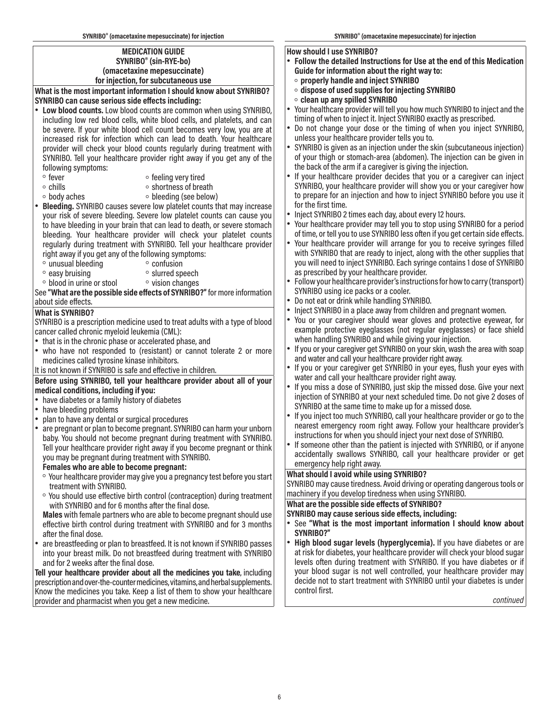### **MEDICATION GUIDE SYNRIBO® (sin-RYE-bo) (omacetaxine mepesuccinate) for injection, for subcutaneous use**

**What is the most important information I should know about SYNRIBO? SYNRIBO can cause serious side effects including:**

- **Low blood counts.** Low blood counts are common when using SYNRIBO, including low red blood cells, white blood cells, and platelets, and can be severe. If your white blood cell count becomes very low, you are at increased risk for infection which can lead to death. Your healthcare provider will check your blood counts regularly during treatment with SYNRIBO. Tell your healthcare provider right away if you get any of the following symptoms:
	-
	-
- 。 feeling very tired<br>△ chills o shortness of brea
- 
- ∘ chills ∘ shortness of breath<br>∘ body aches ∘ bleeding (see below ◦ bleeding (see below)
- **Bleeding.** SYNRIBO causes severe low platelet counts that may increase your risk of severe bleeding. Severe low platelet counts can cause you to have bleeding in your brain that can lead to death, or severe stomach bleeding. Your healthcare provider will check your platelet counts regularly during treatment with SYNRIBO. Tell your healthcare provider right away if you get any of the following symptoms:<br>  $\circ$  unusual bleeding  $\circ$  confusion
	-
- unusual bleeding<br>◦ easy bruising
- slurred speech<br>◦ vision changes ◦ blood in urine or stool

See **"What are the possible side effects of SYNRIBO?"** for more information about side effects.

## **What is SYNRIBO?**

SYNRIBO is a prescription medicine used to treat adults with a type of blood cancer called chronic myeloid leukemia (CML):

- that is in the chronic phase or accelerated phase, and
- who have not responded to (resistant) or cannot tolerate 2 or more medicines called tyrosine kinase inhibitors.

It is not known if SYNRIBO is safe and effective in children.

### **Before using SYNRIBO, tell your healthcare provider about all of your medical conditions, including if you:**

- have diabetes or a family history of diabetes<br>• have bleeding problems
- have bleeding problems
- plan to have any dental or surgical procedures
- are pregnant or plan to become pregnant. SYNRIBO can harm your unborn baby. You should not become pregnant during treatment with SYNRIBO. Tell your healthcare provider right away if you become pregnant or think you may be pregnant during treatment with SYNRIBO.
- **Females who are able to become pregnant:**
- ◦ Your healthcare provider may give you a pregnancy test before you start treatment with SYNRIBO.
- ◦ You should use effective birth control (contraception) during treatment with SYNRIBO and for 6 months after the final dose.

**Males** with female partners who are able to become pregnant should use effective birth control during treatment with SYNRIBO and for 3 months after the final dose.

• are breastfeeding or plan to breastfeed. It is not known if SYNRIBO passes into your breast milk. Do not breastfeed during treatment with SYNRIBO and for 2 weeks after the final dose.

**Tell your healthcare provider about all the medicines you take,** including prescription and over-the-counter medicines, vitamins, and herbal supplements. Know the medicines you take. Keep a list of them to show your healthcare provider and pharmacist when you get a new medicine.

### **How should I use SYNRIBO?**

- **Follow the detailed Instructions for Use at the end of this Medication Guide for information about the right way to:**
	- ◦ **properly handle and inject SYNRIBO**
	- ◦ **dispose of used supplies for injecting SYNRIBO**
- ◦ **clean up any spilled SYNRIBO**
- Your healthcare provider will tell you how much SYNRIBO to inject and the timing of when to inject it. Inject SYNRIBO exactly as prescribed.
- Do not change your dose or the timing of when you inject SYNRIBO, unless your healthcare provider tells you to.
- SYNRIBO is given as an injection under the skin (subcutaneous injection) of your thigh or stomach-area (abdomen). The injection can be given in the back of the arm if a caregiver is giving the injection.
- If your healthcare provider decides that you or a caregiver can inject SYNRIBO, your healthcare provider will show you or your caregiver how to prepare for an injection and how to inject SYNRIBO before you use it for the first time.
- Inject SYNRIBO 2 times each day, about every 12 hours.
- Your healthcare provider may tell you to stop using SYNRIBO for a period of time, or tell you to use SYNRIBO less often if you get certain side effects.
- Your healthcare provider will arrange for you to receive syringes filled with SYNRIBO that are ready to inject, along with the other supplies that you will need to inject SYNRIBO. Each syringe contains 1 dose of SYNRIBO as prescribed by your healthcare provider.
- Follow your healthcare provider's instructions for how to carry (transport) SYNRIBO using ice packs or a cooler.
- Do not eat or drink while handling SYNRIBO.<br>• Inject SYNRIBO in a place away from children
- Inject SYNRIBO in a place away from children and pregnant women.<br>• You ar your caregiver should wear gloves and protective evewes
- You or your caregiver should wear gloves and protective eyewear, for example protective eyeglasses (not regular eyeglasses) or face shield when handling SYNRIBO and while giving your injection.
- If you or your caregiver get SYNRIBO on your skin, wash the area with soap and water and call your healthcare provider right away.
- If you or your caregiver get SYNRIBO in your eyes, flush your eyes with water and call your healthcare provider right away.
- If you miss a dose of SYNRIBO, just skip the missed dose. Give your next injection of SYNRIBO at your next scheduled time. Do not give 2 doses of SYNRIBO at the same time to make up for a missed dose.
- If you inject too much SYNRIBO, call your healthcare provider or go to the nearest emergency room right away. Follow your healthcare provider's instructions for when you should inject your next dose of SYNRIBO.
- If someone other than the patient is injected with SYNRIBO, or if anyone accidentally swallows SYNRIBO, call your healthcare provider or get emergency help right away.

### **What should I avoid while using SYNRIBO?**

SYNRIBO may cause tiredness. Avoid driving or operating dangerous tools or machinery if you develop tiredness when using SYNRIBO.

**What are the possible side effects of SYNRIBO?**

- **SYNRIBO may cause serious side effects, including:**
- See **"What is the most important information I should know about SYNRIBO?"**
- **High blood sugar levels (hyperglycemia).** If you have diabetes or are at risk for diabetes, your healthcare provider will check your blood sugar levels often during treatment with SYNRIBO. If you have diabetes or if your blood sugar is not well controlled, your healthcare provider may decide not to start treatment with SYNRIBO until your diabetes is under control first.

*continued*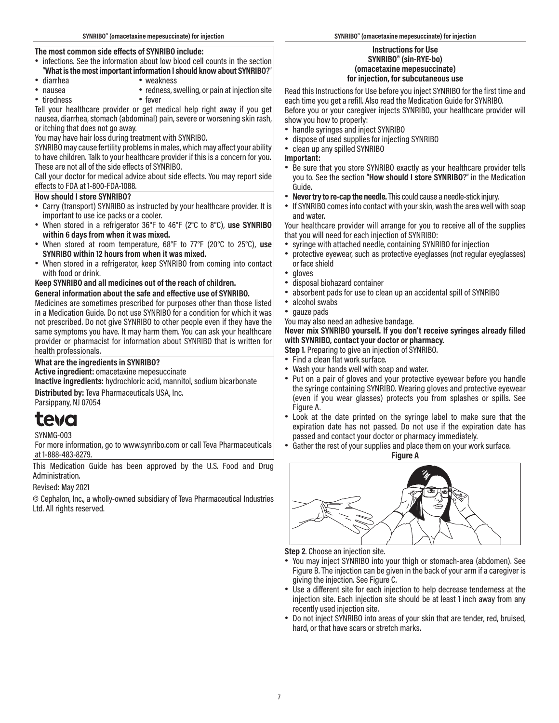### **The most common side effects of SYNRIBO include:**

- infections. See the information about low blood cell counts in the section
- "**What is the most important information I should know about SYNRIBO**?"
- diarrhea weakness
- 
- tiredness

Tell your healthcare provider or get medical help right away if you get nausea, diarrhea, stomach (abdominal) pain, severe or worsening skin rash, or itching that does not go away.

• redness, swelling, or pain at injection site<br>• fever

You may have hair loss during treatment with SYNRIBO.

SYNRIBO may cause fertility problems in males, which may affect your ability to have children. Talk to your healthcare provider if this is a concern for you. These are not all of the side effects of SYNRIBO.

Call your doctor for medical advice about side effects. You may report side effects to FDA at 1-800-FDA-1088.

### **How should I store SYNRIBO?**

- Carry (transport) SYNRIBO as instructed by your healthcare provider. It is important to use ice packs or a cooler.
- When stored in a refrigerator 36°F to 46°F (2°C to 8°C), **use SYNRIBO within 6 days from when it was mixed.**
- When stored at room temperature, 68°F to 77°F (20°C to 25°C), **use SYNRIBO within 12 hours from when it was mixed.**
- When stored in a refrigerator, keep SYNRIBO from coming into contact with food or drink.

### **Keep SYNRIBO and all medicines out of the reach of children.**

### **General information about the safe and effective use of SYNRIBO.**

Medicines are sometimes prescribed for purposes other than those listed in a Medication Guide. Do not use SYNRIBO for a condition for which it was not prescribed. Do not give SYNRIBO to other people even if they have the same symptoms you have. It may harm them. You can ask your healthcare provider or pharmacist for information about SYNRIBO that is written for health professionals.

**What are the ingredients in SYNRIBO?**

### **Active ingredient:** omacetaxine mepesuccinate

**Inactive ingredients:** hydrochloric acid, mannitol, sodium bicarbonate

**Distributed by:** Teva Pharmaceuticals USA, Inc. Parsippany, NJ 07054

# teva

# SYNMG-003

For more information, go to www.synribo.com or call Teva Pharmaceuticals at 1-888-483-8279.

This Medication Guide has been approved by the U.S. Food and Drug Administration.

Revised: May 2021

© Cephalon, Inc., a wholly-owned subsidiary of Teva Pharmaceutical Industries Ltd. All rights reserved.

### **Instructions for Use SYNRIBO® (sin-RYE-bo) (omacetaxine mepesuccinate) for injection, for subcutaneous use**

Read this Instructions for Use before you inject SYNRIBO for the first time and each time you get a refill. Also read the Medication Guide for SYNRIBO. Before you or your caregiver injects SYNRIBO, your healthcare provider will show you how to properly:

- handle syringes and inject SYNRIBO
- dispose of used supplies for injecting SYNRIBO
- clean up any spilled SYNRIBO

## **Important:**

- Be sure that you store SYNRIBO exactly as your healthcare provider tells you to. See the section "**How should I store SYNRIBO**?" in the Medication Guide.
- **Never try to re-cap the needle.** This could cause a needle-stick injury.
- If SYNRIBO comes into contact with your skin, wash the area well with soap and water.

Your healthcare provider will arrange for you to receive all of the supplies that you will need for each injection of SYNRIBO:

- syringe with attached needle, containing SYNRIBO for injection
- protective eyewear, such as protective eyeglasses (not regular eyeglasses) or face shield
- gloves
- disposal biohazard container
- absorbent pads for use to clean up an accidental spill of SYNRIBO
- alcohol swabs
- gauze pads

You may also need an adhesive bandage.

### **Never mix SYNRIBO yourself. If you don't receive syringes already filled with SYNRIBO, contact your doctor or pharmacy.**

- **Step 1**. Preparing to give an injection of SYNRIBO.
- Find a clean flat work surface.
- Wash your hands well with soap and water.
- Put on a pair of gloves and your protective eyewear before you handle the syringe containing SYNRIBO. Wearing gloves and protective eyewear (even if you wear glasses) protects you from splashes or spills. See Figure A.
- Look at the date printed on the syringe label to make sure that the expiration date has not passed. Do not use if the expiration date has passed and contact your doctor or pharmacy immediately.
- Gather the rest of your supplies and place them on your work surface.

**Figure A**



**Step 2**. Choose an injection site.

- You may inject SYNRIBO into your thigh or stomach-area (abdomen). See Figure B. The injection can be given in the back of your arm if a caregiver is giving the injection. See Figure C.
- Use a different site for each injection to help decrease tenderness at the injection site. Each injection site should be at least 1 inch away from any recently used injection site.
- Do not inject SYNRIBO into areas of your skin that are tender, red, bruised, hard, or that have scars or stretch marks.